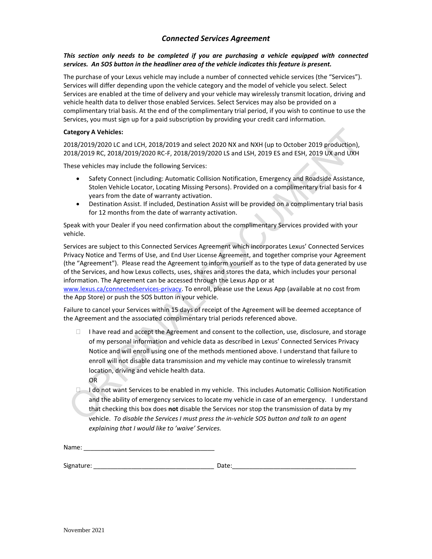# *Connected Services Agreement*

### *This section only needs to be completed if you are purchasing a vehicle equipped with connected services. An SOS button in the headliner area of the vehicle indicates this feature is present.*

The purchase of your Lexus vehicle may include a number of connected vehicle services (the "Services"). Services will differ depending upon the vehicle category and the model of vehicle you select. Select Services are enabled at the time of delivery and your vehicle may wirelessly transmit location, driving and vehicle health data to deliver those enabled Services. Select Services may also be provided on a complimentary trial basis. At the end of the complimentary trial period, if you wish to continue to use the Services, you must sign up for a paid subscription by providing your credit card information.

#### **Category A Vehicles:**

2018/2019/2020 LC and LCH, 2018/2019 and select 2020 NX and NXH (up to October 2019 production), 2018/2019 RC, 2018/2019/2020 RC-F, 2018/2019/2020 LS and LSH, 2019 ES and ESH, 2019 UX and UXH

These vehicles may include the following Services:

- Safety Connect (including: Automatic Collision Notification, Emergency and Roadside Assistance, Stolen Vehicle Locator, Locating Missing Persons). Provided on a complimentary trial basis for 4 years from the date of warranty activation.
- Destination Assist. If included, Destination Assist will be provided on a complimentary trial basis for 12 months from the date of warranty activation.

Speak with your Dealer if you need confirmation about the complimentary Services provided with your vehicle.

Services are subject to this Connected Services Agreement which incorporates Lexus' Connected Services Privacy Notice and Terms of Use, and End User License Agreement, and together comprise your Agreement (the "Agreement"). Please read the Agreement to inform yourself as to the type of data generated by use of the Services, and how Lexus collects, uses, shares and stores the data, which includes your personal information. The Agreement can be accessed through the Lexus App or at

[www.lexus.ca/connectedservices-privacy.](http://www.lexus.ca/connectedservices-privacy) To enroll, please use the Lexus App (available at no cost from the App Store) or push the SOS button in your vehicle.

Failure to cancel your Services within 15 days of receipt of the Agreement will be deemed acceptance of the Agreement and the associated complimentary trial periods referenced above.

- $\Box$  I have read and accept the Agreement and consent to the collection, use, disclosure, and storage of my personal information and vehicle data as described in Lexus' Connected Services Privacy Notice and will enroll using one of the methods mentioned above. I understand that failure to enroll will not disable data transmission and my vehicle may continue to wirelessly transmit location, driving and vehicle health data. OR
- $\Box$  I do not want Services to be enabled in my vehicle. This includes Automatic Collision Notification and the ability of emergency services to locate my vehicle in case of an emergency. I understand that checking this box does **not** disable the Services nor stop the transmission of data by my vehicle. *To disable the Services I must press the in-vehicle SOS button and talk to an agent explaining that I would like to 'waive' Services.*

Name:

Signature: \_\_\_\_\_\_\_\_\_\_\_\_\_\_\_\_\_\_\_\_\_\_\_\_\_\_\_\_\_\_\_\_\_\_\_ Date:\_\_\_\_\_\_\_\_\_\_\_\_\_\_\_\_\_\_\_\_\_\_\_\_\_\_\_\_\_\_\_\_\_\_\_\_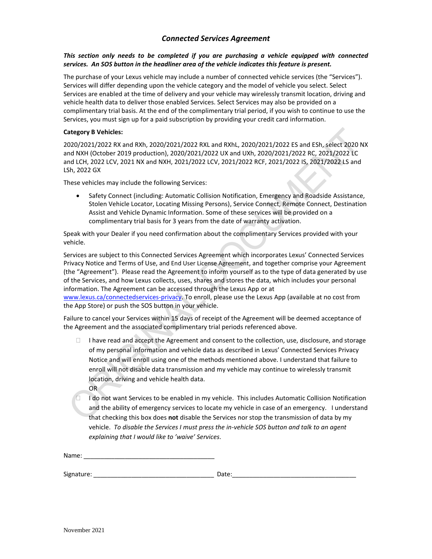# *Connected Services Agreement*

### *This section only needs to be completed if you are purchasing a vehicle equipped with connected services. An SOS button in the headliner area of the vehicle indicates this feature is present.*

The purchase of your Lexus vehicle may include a number of connected vehicle services (the "Services"). Services will differ depending upon the vehicle category and the model of vehicle you select. Select Services are enabled at the time of delivery and your vehicle may wirelessly transmit location, driving and vehicle health data to deliver those enabled Services. Select Services may also be provided on a complimentary trial basis. At the end of the complimentary trial period, if you wish to continue to use the Services, you must sign up for a paid subscription by providing your credit card information.

### **Category B Vehicles:**

2020/2021/2022 RX and RXh, 2020/2021/2022 RXL and RXhL, 2020/2021/2022 ES and ESh, select 2020 NX and NXH (October 2019 production), 2020/2021/2022 UX and UXh, 2020/2021/2022 RC, 2021/2022 LC and LCH, 2022 LCV, 2021 NX and NXH, 2021/2022 LCV, 2021/2022 RCF, 2021/2022 IS, 2021/2022 LS and LSh, 2022 GX

These vehicles may include the following Services:

• Safety Connect (including: Automatic Collision Notification, Emergency and Roadside Assistance, Stolen Vehicle Locator, Locating Missing Persons), Service Connect, Remote Connect, Destination Assist and Vehicle Dynamic Information. Some of these services will be provided on a complimentary trial basis for 3 years from the date of warranty activation.

Speak with your Dealer if you need confirmation about the complimentary Services provided with your vehicle.

Services are subject to this Connected Services Agreement which incorporates Lexus' Connected Services Privacy Notice and Terms of Use, and End User License Agreement, and together comprise your Agreement (the "Agreement"). Please read the Agreement to inform yourself as to the type of data generated by use of the Services, and how Lexus collects, uses, shares and stores the data, which includes your personal information. The Agreement can be accessed through the Lexus App or at

[www.lexus.ca/connectedservices-privacy.](http://www.lexus.ca/connectedservices-privacy) To enroll, please use the Lexus App (available at no cost from the App Store) or push the SOS button in your vehicle.

Failure to cancel your Services within 15 days of receipt of the Agreement will be deemed acceptance of the Agreement and the associated complimentary trial periods referenced above.

- $\Box$  I have read and accept the Agreement and consent to the collection, use, disclosure, and storage of my personal information and vehicle data as described in Lexus' Connected Services Privacy Notice and will enroll using one of the methods mentioned above. I understand that failure to enroll will not disable data transmission and my vehicle may continue to wirelessly transmit location, driving and vehicle health data.
	- OR
- $\Box$  I do not want Services to be enabled in my vehicle. This includes Automatic Collision Notification and the ability of emergency services to locate my vehicle in case of an emergency. I understand that checking this box does **not** disable the Services nor stop the transmission of data by my vehicle. *To disable the Services I must press the in-vehicle SOS button and talk to an agent explaining that I would like to 'waive' Services.*

Name:

Signature: \_\_\_\_\_\_\_\_\_\_\_\_\_\_\_\_\_\_\_\_\_\_\_\_\_\_\_\_\_\_\_\_\_\_\_ Date:\_\_\_\_\_\_\_\_\_\_\_\_\_\_\_\_\_\_\_\_\_\_\_\_\_\_\_\_\_\_\_\_\_\_\_\_